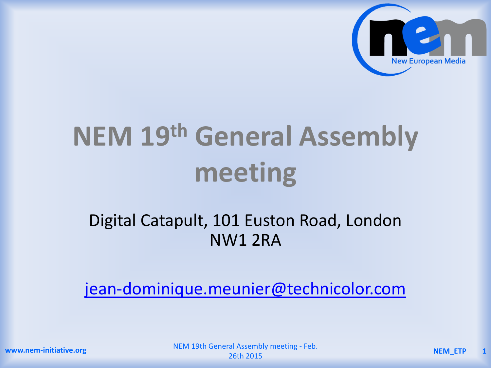

# **NEM 19th General Assembly meeting**

#### Digital Catapult, 101 Euston Road, London NW1 2RA

[jean-dominique.meunier@technicolor.com](mailto:jean-dominique.meunier@technicolor.com)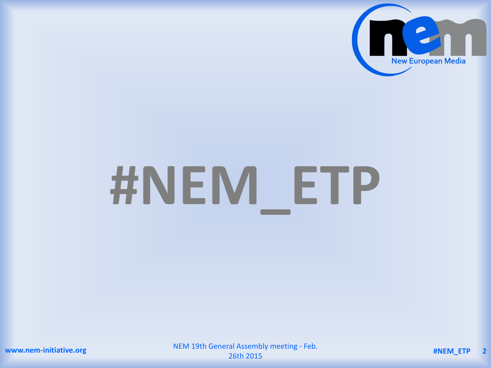

# **#NEM\_ETP**

NEM 19th General Assembly meeting - Feb. 26th 2015 **#NEM\_ETP <sup>2</sup>**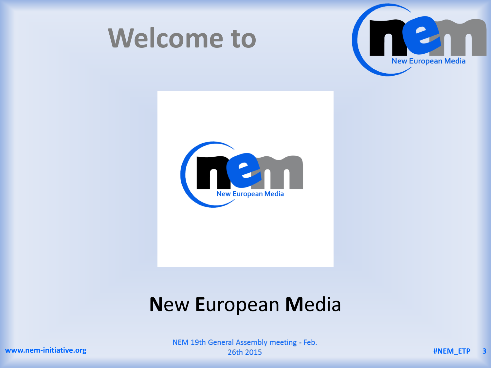



**Welcome to** 

#### **New European Media**

NEM 19th General Assembly meeting - Feb. 26th 2015

www.nem-initiative.org

#NEM\_ETP  $\overline{\mathbf{3}}$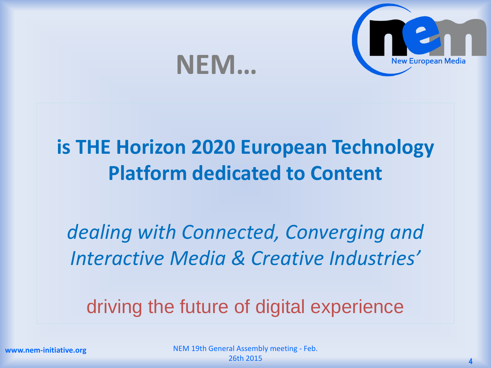

### **NEM…**

#### **is THE Horizon 2020 European Technology Platform dedicated to Content**

*dealing with Connected, Converging and Interactive Media & Creative Industries'*

driving the future of digital experience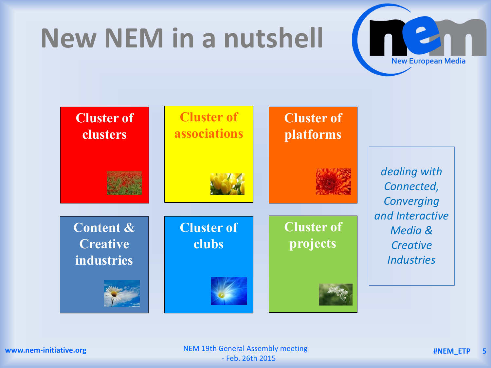## **New NEM in a nutshell**





NEM 19th General Assembly meeting **#NEM\_ETP 5** - Feb. 26th 2015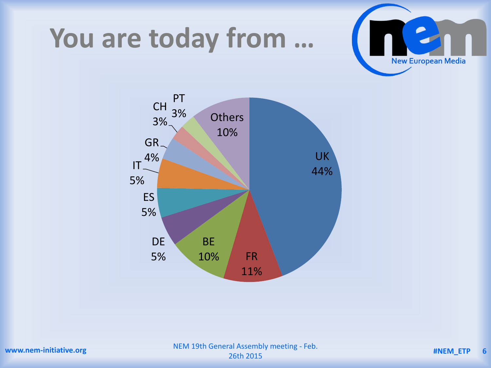### **You are today from …**



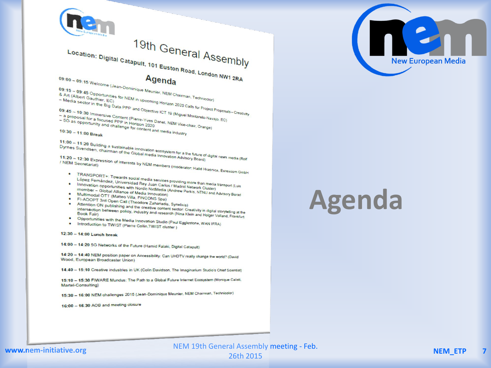

11:00 - 11:20 Building a sustainable innovation ecosystem for a the future of digital news media (Rolf

11:20 - 12:30 Expression of interests by NEM members (moderator: Halid Hrasnica, Euresoom GmbH

- . TRANSPORT+: Towards social media services providing more than media transport (Luis
- López Fernández, Universidad Rey Juan Carlos / Madrid Network Cluster) Innovation opportunities with Nordic NxtMedia (Andrew Perkis, NTNU and Advisory Borad
- . Multimodal OTT (Matteo Villa, FINCONS Spa)
- 
- . FI-ADOPT 3rd Open Call (Theodore Zahariadis, Synelixis) . Attention ON publishing and the creative content sector: Creativity in digital storytelling at the intersection between policy, industry and research (Nina Klein and Holger Volland, Frankfurt . Opportunities with the Media Innovation Studio (Paul Egglestone, WAN IFRA)
- . Introduction to TWIST (Pierre Collin, TWIST cluster)

12:30 - 14:00 Lunch break

14:00 - 14:20 5G Networks of the Future (Hamid Falaki, Digital Catapult)

14:20 - 14:40 NEM position paper on Accessibility: Can UHDTV really change the world? (David Wood, European Broadcaster Union)

14:40 - 15:10 Creative industries in UK (Colin Davidson, The Imaginarium Studio's Chief Scientist)

15:10 - 15:30 FIWARE Mundus: The Path to a Global Future Internet Ecosystem (Monique Calisti, Martel-Consulting)

15:30 - 16:00 NEM challenges 2015 (Jean-Dominique Meunier, NEM Chairman, Technicolor)

16:00 - 16:30 AOB and meeting closure

# **Agenda**



#### www.nem-initiative.org

NEM 19th General Assembly meeting - Feb. 26th 2015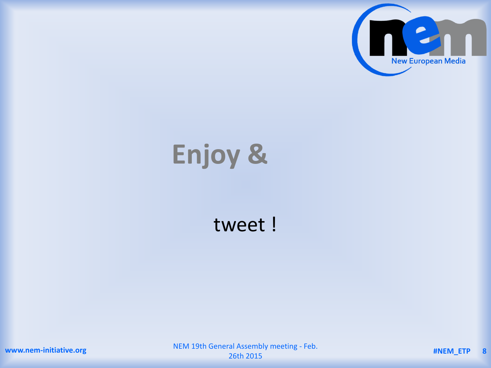

# **Enjoy &**

#### tweet !

**www.nem-initiative.org**

NEM 19th General Assembly meeting - Feb. 26th 2015 **#NEM\_ETP <sup>8</sup>**